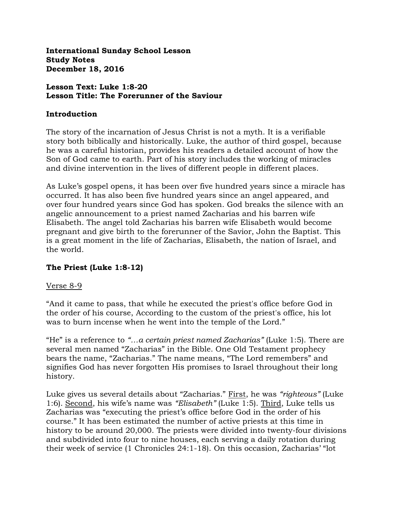**International Sunday School Lesson Study Notes December 18, 2016**

#### **Lesson Text: Luke 1:8-20 Lesson Title: The Forerunner of the Saviour**

#### **Introduction**

The story of the incarnation of Jesus Christ is not a myth. It is a verifiable story both biblically and historically. Luke, the author of third gospel, because he was a careful historian, provides his readers a detailed account of how the Son of God came to earth. Part of his story includes the working of miracles and divine intervention in the lives of different people in different places.

As Luke's gospel opens, it has been over five hundred years since a miracle has occurred. It has also been five hundred years since an angel appeared, and over four hundred years since God has spoken. God breaks the silence with an angelic announcement to a priest named Zacharias and his barren wife Elisabeth. The angel told Zacharias his barren wife Elisabeth would become pregnant and give birth to the forerunner of the Savior, John the Baptist. This is a great moment in the life of Zacharias, Elisabeth, the nation of Israel, and the world.

## **The Priest (Luke 1:8-12)**

#### Verse 8-9

"And it came to pass, that while he executed the priest's office before God in the order of his course, According to the custom of the priest's office, his lot was to burn incense when he went into the temple of the Lord."

"He" is a reference to *"…a certain priest named Zacharias"* (Luke 1:5). There are several men named "Zacharias" in the Bible. One Old Testament prophecy bears the name, "Zacharias." The name means, "The Lord remembers" and signifies God has never forgotten His promises to Israel throughout their long history.

Luke gives us several details about "Zacharias." First, he was *"righteous"* (Luke 1:6). Second, his wife's name was *"Elisabeth"* (Luke 1:5). Third, Luke tells us Zacharias was "executing the priest's office before God in the order of his course." It has been estimated the number of active priests at this time in history to be around 20,000. The priests were divided into twenty-four divisions and subdivided into four to nine houses, each serving a daily rotation during their week of service (1 Chronicles 24:1-18). On this occasion, Zacharias' "lot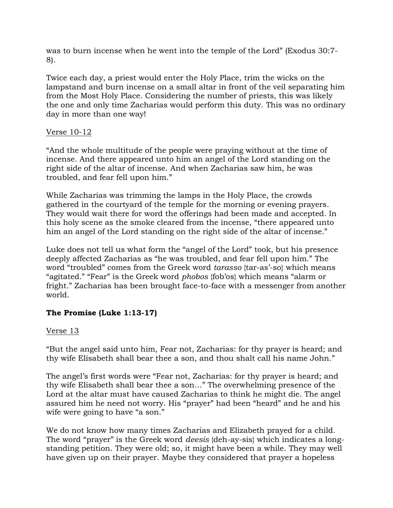was to burn incense when he went into the temple of the Lord" (Exodus 30:7- 8).

Twice each day, a priest would enter the Holy Place, trim the wicks on the lampstand and burn incense on a small altar in front of the veil separating him from the Most Holy Place. Considering the number of priests, this was likely the one and only time Zacharias would perform this duty. This was no ordinary day in more than one way!

## Verse 10-12

"And the whole multitude of the people were praying without at the time of incense. And there appeared unto him an angel of the Lord standing on the right side of the altar of incense. And when Zacharias saw him, he was troubled, and fear fell upon him."

While Zacharias was trimming the lamps in the Holy Place, the crowds gathered in the courtyard of the temple for the morning or evening prayers. They would wait there for word the offerings had been made and accepted. In this holy scene as the smoke cleared from the incense, "there appeared unto him an angel of the Lord standing on the right side of the altar of incense."

Luke does not tell us what form the "angel of the Lord" took, but his presence deeply affected Zacharias as "he was troubled, and fear fell upon him." The word "troubled" comes from the Greek word *tarasso* {tar-as'-so} which means "agitated." "Fear" is the Greek word *phobos* {fob'os} which means "alarm or fright." Zacharias has been brought face-to-face with a messenger from another world.

# **The Promise (Luke 1:13-17)**

# Verse 13

"But the angel said unto him, Fear not, Zacharias: for thy prayer is heard; and thy wife Elisabeth shall bear thee a son, and thou shalt call his name John."

The angel's first words were "Fear not, Zacharias: for thy prayer is heard; and thy wife Elisabeth shall bear thee a son…" The overwhelming presence of the Lord at the altar must have caused Zacharias to think he might die. The angel assured him he need not worry. His "prayer" had been "heard" and he and his wife were going to have "a son."

We do not know how many times Zacharias and Elizabeth prayed for a child. The word "prayer" is the Greek word *deesis* {deh-ay-sis} which indicates a longstanding petition. They were old; so, it might have been a while. They may well have given up on their prayer. Maybe they considered that prayer a hopeless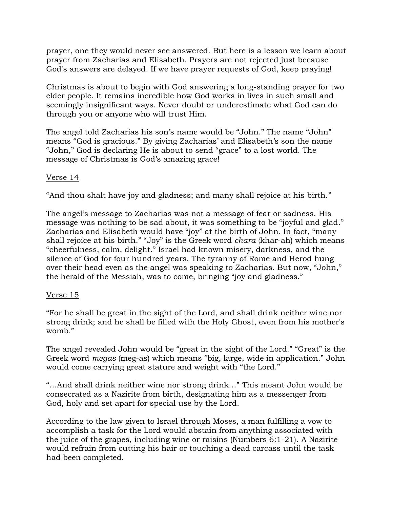prayer, one they would never see answered. But here is a lesson we learn about prayer from Zacharias and Elisabeth. Prayers are not rejected just because God's answers are delayed. If we have prayer requests of God, keep praying!

Christmas is about to begin with God answering a long-standing prayer for two elder people. It remains incredible how God works in lives in such small and seemingly insignificant ways. Never doubt or underestimate what God can do through you or anyone who will trust Him.

The angel told Zacharias his son's name would be "John." The name "John" means "God is gracious." By giving Zacharias' and Elisabeth's son the name "John," God is declaring He is about to send "grace" to a lost world. The message of Christmas is God's amazing grace!

## Verse 14

"And thou shalt have joy and gladness; and many shall rejoice at his birth."

The angel's message to Zacharias was not a message of fear or sadness. His message was nothing to be sad about, it was something to be "joyful and glad." Zacharias and Elisabeth would have "joy" at the birth of John. In fact, "many shall rejoice at his birth." "Joy" is the Greek word *chara* {khar-ah} which means "cheerfulness, calm, delight." Israel had known misery, darkness, and the silence of God for four hundred years. The tyranny of Rome and Herod hung over their head even as the angel was speaking to Zacharias. But now, "John," the herald of the Messiah, was to come, bringing "joy and gladness."

#### Verse 15

"For he shall be great in the sight of the Lord, and shall drink neither wine nor strong drink; and he shall be filled with the Holy Ghost, even from his mother's womb."

The angel revealed John would be "great in the sight of the Lord." "Great" is the Greek word *megas* {meg-as} which means "big, large, wide in application." John would come carrying great stature and weight with "the Lord."

"…And shall drink neither wine nor strong drink…" This meant John would be consecrated as a Nazirite from birth, designating him as a messenger from God, holy and set apart for special use by the Lord.

According to the law given to Israel through Moses, a man fulfilling a vow to accomplish a task for the Lord would abstain from anything associated with the juice of the grapes, including wine or raisins (Numbers 6:1-21). A Nazirite would refrain from cutting his hair or touching a dead carcass until the task had been completed.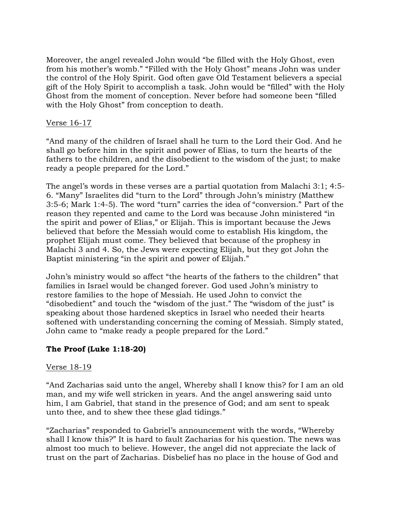Moreover, the angel revealed John would "be filled with the Holy Ghost, even from his mother's womb." "Filled with the Holy Ghost" means John was under the control of the Holy Spirit. God often gave Old Testament believers a special gift of the Holy Spirit to accomplish a task. John would be "filled" with the Holy Ghost from the moment of conception. Never before had someone been "filled with the Holy Ghost" from conception to death.

## Verse 16-17

"And many of the children of Israel shall he turn to the Lord their God. And he shall go before him in the spirit and power of Elias, to turn the hearts of the fathers to the children, and the disobedient to the wisdom of the just; to make ready a people prepared for the Lord."

The angel's words in these verses are a partial quotation from Malachi 3:1; 4:5- 6. "Many" Israelites did "turn to the Lord" through John's ministry (Matthew 3:5-6; Mark 1:4-5). The word "turn" carries the idea of "conversion." Part of the reason they repented and came to the Lord was because John ministered "in the spirit and power of Elias," or Elijah. This is important because the Jews believed that before the Messiah would come to establish His kingdom, the prophet Elijah must come. They believed that because of the prophesy in Malachi 3 and 4. So, the Jews were expecting Elijah, but they got John the Baptist ministering "in the spirit and power of Elijah."

John's ministry would so affect "the hearts of the fathers to the children" that families in Israel would be changed forever. God used John's ministry to restore families to the hope of Messiah. He used John to convict the "disobedient" and touch the "wisdom of the just." The "wisdom of the just" is speaking about those hardened skeptics in Israel who needed their hearts softened with understanding concerning the coming of Messiah. Simply stated, John came to "make ready a people prepared for the Lord."

## **The Proof (Luke 1:18-20)**

#### Verse 18-19

"And Zacharias said unto the angel, Whereby shall I know this? for I am an old man, and my wife well stricken in years. And the angel answering said unto him, I am Gabriel, that stand in the presence of God; and am sent to speak unto thee, and to shew thee these glad tidings."

"Zacharias" responded to Gabriel's announcement with the words, "Whereby shall I know this?" It is hard to fault Zacharias for his question. The news was almost too much to believe. However, the angel did not appreciate the lack of trust on the part of Zacharias. Disbelief has no place in the house of God and